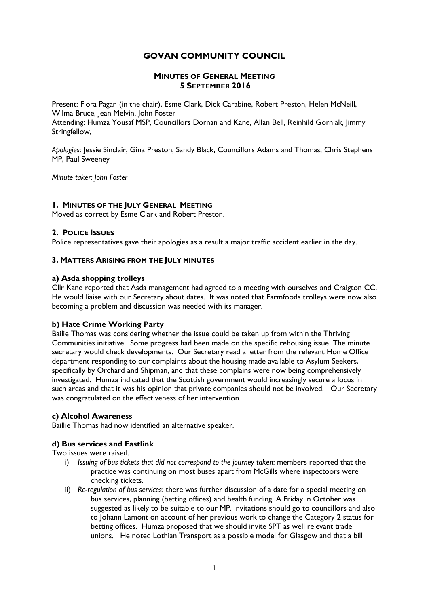# GOVAN COMMUNITY COUNCIL

# MINUTES OF GENERAL MEETING 5 SEPTEMBER 2016

Present: Flora Pagan (in the chair), Esme Clark, Dick Carabine, Robert Preston, Helen McNeill, Wilma Bruce, Jean Melvin, John Foster

Attending: Humza Yousaf MSP, Councillors Dornan and Kane, Allan Bell, Reinhild Gorniak, Jimmy Stringfellow,

Apologies: Jessie Sinclair, Gina Preston, Sandy Black, Councillors Adams and Thomas, Chris Stephens MP, Paul Sweeney

Minute taker: John Foster

## 1. MINUTES OF THE JULY GENERAL MEETING

Moved as correct by Esme Clark and Robert Preston.

## 2. POLICE ISSUES

Police representatives gave their apologies as a result a major traffic accident earlier in the day.

### 3. MATTERS ARISING FROM THE JULY MINUTES

## a) Asda shopping trolleys

Cllr Kane reported that Asda management had agreed to a meeting with ourselves and Craigton CC. He would liaise with our Secretary about dates. It was noted that Farmfoods trolleys were now also becoming a problem and discussion was needed with its manager.

### b) Hate Crime Working Party

Bailie Thomas was considering whether the issue could be taken up from within the Thriving Communities initiative. Some progress had been made on the specific rehousing issue. The minute secretary would check developments. Our Secretary read a letter from the relevant Home Office department responding to our complaints about the housing made available to Asylum Seekers, specifically by Orchard and Shipman, and that these complains were now being comprehensively investigated. Humza indicated that the Scottish government would increasingly secure a locus in such areas and that it was his opinion that private companies should not be involved. Our Secretary was congratulated on the effectiveness of her intervention.

### c) Alcohol Awareness

Baillie Thomas had now identified an alternative speaker.

### d) Bus services and Fastlink

### Two issues were raised.

- i) Issuing of bus tickets that did not correspond to the journey taken: members reported that the practice was continuing on most buses apart from McGills where inspectoors were checking tickets.
- ii) Re-regulation of bus services: there was further discussion of a date for a special meeting on bus services, planning (betting offices) and health funding. A Friday in October was suggested as likely to be suitable to our MP. Invitations should go to councillors and also to Johann Lamont on account of her previous work to change the Category 2 status for betting offices. Humza proposed that we should invite SPT as well relevant trade unions. He noted Lothian Transport as a possible model for Glasgow and that a bill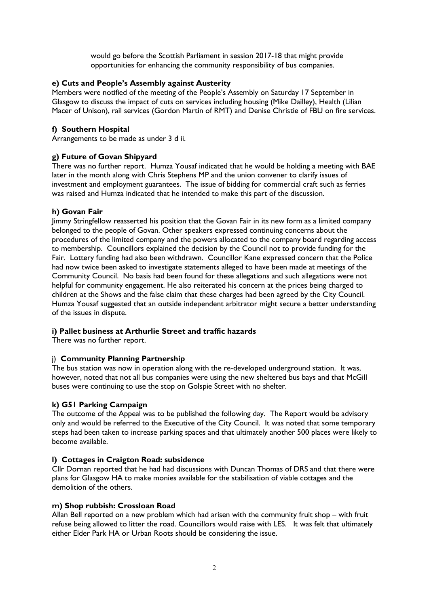would go before the Scottish Parliament in session 2017-18 that might provide opportunities for enhancing the community responsibility of bus companies.

# e) Cuts and People's Assembly against Austerity

Members were notified of the meeting of the People's Assembly on Saturday 17 September in Glasgow to discuss the impact of cuts on services including housing (Mike Dailley), Health (Lilian Macer of Unison), rail services (Gordon Martin of RMT) and Denise Christie of FBU on fire services.

# f) Southern Hospital

Arrangements to be made as under 3 d ii.

# g) Future of Govan Shipyard

There was no further report. Humza Yousaf indicated that he would be holding a meeting with BAE later in the month along with Chris Stephens MP and the union convener to clarify issues of investment and employment guarantees. The issue of bidding for commercial craft such as ferries was raised and Humza indicated that he intended to make this part of the discussion.

# h) Govan Fair

Jimmy Stringfellow reasserted his position that the Govan Fair in its new form as a limited company belonged to the people of Govan. Other speakers expressed continuing concerns about the procedures of the limited company and the powers allocated to the company board regarding access to membership. Councillors explained the decision by the Council not to provide funding for the Fair. Lottery funding had also been withdrawn. Councillor Kane expressed concern that the Police had now twice been asked to investigate statements alleged to have been made at meetings of the Community Council. No basis had been found for these allegations and such allegations were not helpful for community engagement. He also reiterated his concern at the prices being charged to children at the Shows and the false claim that these charges had been agreed by the City Council. Humza Yousaf suggested that an outside independent arbitrator might secure a better understanding of the issues in dispute.

# i) Pallet business at Arthurlie Street and traffic hazards

There was no further report.

# j) Community Planning Partnership

The bus station was now in operation along with the re-developed underground station. It was, however, noted that not all bus companies were using the new sheltered bus bays and that McGill buses were continuing to use the stop on Golspie Street with no shelter.

# k) G51 Parking Campaign

The outcome of the Appeal was to be published the following day. The Report would be advisory only and would be referred to the Executive of the City Council. It was noted that some temporary steps had been taken to increase parking spaces and that ultimately another 500 places were likely to become available.

# l) Cottages in Craigton Road: subsidence

Cllr Dornan reported that he had had discussions with Duncan Thomas of DRS and that there were plans for Glasgow HA to make monies available for the stabilisation of viable cottages and the demolition of the others.

# m) Shop rubbish: Crossloan Road

Allan Bell reported on a new problem which had arisen with the community fruit shop – with fruit refuse being allowed to litter the road. Councillors would raise with LES. It was felt that ultimately either Elder Park HA or Urban Roots should be considering the issue.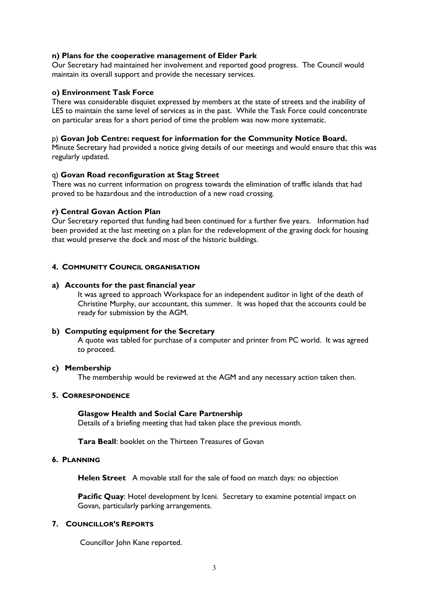## n) Plans for the cooperative management of Elder Park

Our Secretary had maintained her involvement and reported good progress. The Council would maintain its overall support and provide the necessary services.

### o) Environment Task Force

There was considerable disquiet expressed by members at the state of streets and the inability of LES to maintain the same level of services as in the past. While the Task Force could concentrate on particular areas for a short period of time the problem was now more systematic.

### p) Govan Job Centre: request for information for the Community Notice Board.

Minute Secretary had provided a notice giving details of our meetings and would ensure that this was regularly updated.

#### q) Govan Road reconfiguration at Stag Street

There was no current information on progress towards the elimination of traffic islands that had proved to be hazardous and the introduction of a new road crossing.

#### r) Central Govan Action Plan

Our Secretary reported that funding had been continued for a further five years. Information had been provided at the last meeting on a plan for the redevelopment of the graving dock for housing that would preserve the dock and most of the historic buildings.

#### 4. COMMUNITY COUNCIL ORGANISATION

#### a) Accounts for the past financial year

It was agreed to approach Workspace for an independent auditor in light of the death of Christine Murphy, our accountant, this summer. It was hoped that the accounts could be ready for submission by the AGM.

#### b) Computing equipment for the Secretary

A quote was tabled for purchase of a computer and printer from PC world. It was agreed to proceed.

#### c) Membership

The membership would be reviewed at the AGM and any necessary action taken then.

#### 5. CORRESPONDENCE

#### Glasgow Health and Social Care Partnership

Details of a briefing meeting that had taken place the previous month.

Tara Beall: booklet on the Thirteen Treasures of Govan

#### 6. PLANNING

Helen Street A movable stall for the sale of food on match days: no objection

Pacific Quay: Hotel development by Iceni. Secretary to examine potential impact on Govan, particularly parking arrangements.

### 7. COUNCILLOR'S REPORTS

Councillor John Kane reported.